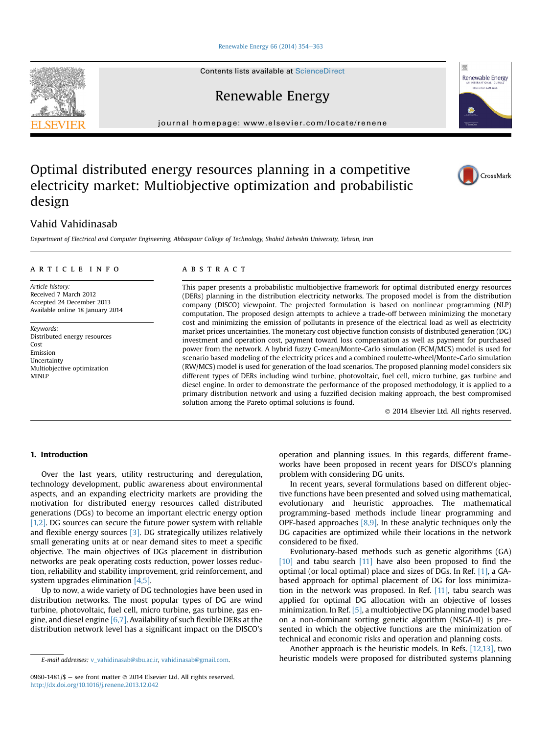[Renewable Energy 66 \(2014\) 354](http://dx.doi.org/10.1016/j.renene.2013.12.042)-[363](http://dx.doi.org/10.1016/j.renene.2013.12.042)

Contents lists available at ScienceDirect

Renewable Energy

journal homepage: [www.elsevier.com/locate/renene](http://www.elsevier.com/locate/renene)

## Optimal distributed energy resources planning in a competitive electricity market: Multiobjective optimization and probabilistic design

### Vahid Vahidinasab

Department of Electrical and Computer Engineering, Abbaspour College of Technology, Shahid Beheshti University, Tehran, Iran

#### article info

Article history: Received 7 March 2012 Accepted 24 December 2013 Available online 18 January 2014

Keywords: Distributed energy resources Cost Emission Uncertainty Multiobjective optimization MINI<sub>P</sub>

#### **ABSTRACT**

This paper presents a probabilistic multiobjective framework for optimal distributed energy resources (DERs) planning in the distribution electricity networks. The proposed model is from the distribution company (DISCO) viewpoint. The projected formulation is based on nonlinear programming (NLP) computation. The proposed design attempts to achieve a trade-off between minimizing the monetary cost and minimizing the emission of pollutants in presence of the electrical load as well as electricity market prices uncertainties. The monetary cost objective function consists of distributed generation (DG) investment and operation cost, payment toward loss compensation as well as payment for purchased power from the network. A hybrid fuzzy C-mean/Monte-Carlo simulation (FCM/MCS) model is used for scenario based modeling of the electricity prices and a combined roulette-wheel/Monte-Carlo simulation (RW/MCS) model is used for generation of the load scenarios. The proposed planning model considers six different types of DERs including wind turbine, photovoltaic, fuel cell, micro turbine, gas turbine and diesel engine. In order to demonstrate the performance of the proposed methodology, it is applied to a primary distribution network and using a fuzzified decision making approach, the best compromised solution among the Pareto optimal solutions is found.

2014 Elsevier Ltd. All rights reserved.

#### 1. Introduction

Over the last years, utility restructuring and deregulation, technology development, public awareness about environmental aspects, and an expanding electricity markets are providing the motivation for distributed energy resources called distributed generations (DGs) to become an important electric energy option [1,2]. DG sources can secure the future power system with reliable and flexible energy sources [3]. DG strategically utilizes relatively small generating units at or near demand sites to meet a specific objective. The main objectives of DGs placement in distribution networks are peak operating costs reduction, power losses reduction, reliability and stability improvement, grid reinforcement, and system upgrades elimination [4,5].

Up to now, a wide variety of DG technologies have been used in distribution networks. The most popular types of DG are wind turbine, photovoltaic, fuel cell, micro turbine, gas turbine, gas engine, and diesel engine  $[6,7]$ . Availability of such flexible DERs at the distribution network level has a significant impact on the DISCO's operation and planning issues. In this regards, different frameworks have been proposed in recent years for DISCO's planning problem with considering DG units.

In recent years, several formulations based on different objective functions have been presented and solved using mathematical, evolutionary and heuristic approaches. The mathematical programming-based methods include linear programming and OPF-based approaches  $[8,9]$ . In these analytic techniques only the DG capacities are optimized while their locations in the network considered to be fixed.

Evolutionary-based methods such as genetic algorithms (GA) [10] and tabu search [11] have also been proposed to find the optimal (or local optimal) place and sizes of DGs. In Ref. [1], a GAbased approach for optimal placement of DG for loss minimization in the network was proposed. In Ref. [11], tabu search was applied for optimal DG allocation with an objective of losses minimization. In Ref. [5], a multiobjective DG planning model based on a non-dominant sorting genetic algorithm (NSGA-II) is presented in which the objective functions are the minimization of technical and economic risks and operation and planning costs.

Another approach is the heuristic models. In Refs. [12,13], two E-mail addresses: [v\\_vahidinasab@sbu.ac.ir,](mailto:v_vahidinasab@sbu.ac.ir) [vahidinasab@gmail.com](mailto:vahidinasab@gmail.com). heuristic models were proposed for distributed systems planning





CrossMark



Renewable Energy

带

<sup>0960-1481/\$ -</sup> see front matter  $\odot$  2014 Elsevier Ltd. All rights reserved. <http://dx.doi.org/10.1016/j.renene.2013.12.042>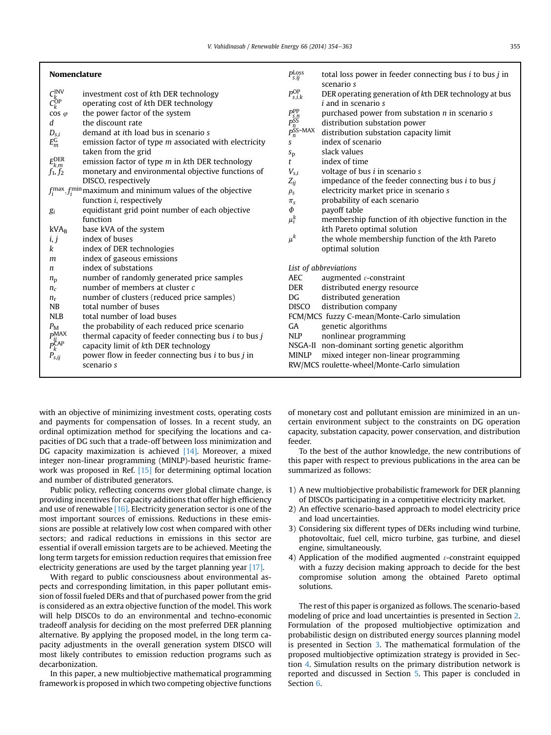$P_{s,ij}^{\text{Loss}}$ 

scenario s

| Nomenclature                                                                     |                                                          |  |  |
|----------------------------------------------------------------------------------|----------------------------------------------------------|--|--|
|                                                                                  | investment cost of kth DER technology                    |  |  |
| C <sup>INV</sup><br>Cop<br>C <sub>k</sub>                                        | operating cost of kth DER technology                     |  |  |
| $\cos \varphi$                                                                   | the power factor of the system                           |  |  |
| d                                                                                | the discount rate                                        |  |  |
| $D_{s,i}$                                                                        | demand at ith load bus in scenario s                     |  |  |
| $E_m^G$                                                                          | emission factor of type m associated with electricity    |  |  |
|                                                                                  | taken from the grid                                      |  |  |
| $E_{k,m}^{\rm DER}$                                                              | emission factor of type <i>m</i> in kth DER technology   |  |  |
| $f_1, f_2$                                                                       | monetary and environmental objective functions of        |  |  |
|                                                                                  | DISCO, respectively                                      |  |  |
| $f_i^{\text{max}}, f_i^{\text{min}}$ maximum and minimum values of the objective |                                                          |  |  |
|                                                                                  | function <i>i</i> , respectively                         |  |  |
| $g_i$                                                                            | equidistant grid point number of each objective          |  |  |
|                                                                                  | function                                                 |  |  |
| <b>kVA</b> <sub>R</sub>                                                          | base kVA of the system                                   |  |  |
| i, j                                                                             | index of buses                                           |  |  |
| k                                                                                | index of DER technologies                                |  |  |
| m                                                                                | index of gaseous emissions                               |  |  |
| n                                                                                | index of substations                                     |  |  |
| $n_{\rm p}$                                                                      | number of randomly generated price samples               |  |  |
| $n_c$                                                                            | number of members at cluster c                           |  |  |
| $n_{\rm r}$                                                                      | number of clusters (reduced price samples)               |  |  |
| <b>NB</b>                                                                        | total number of buses                                    |  |  |
| <b>NLB</b>                                                                       | total number of load buses                               |  |  |
| $P_{\rm M}$                                                                      | the probability of each reduced price scenario           |  |  |
| $P_{ii}^{MAX}$                                                                   | thermal capacity of feeder connecting bus $i$ to bus $j$ |  |  |
| $p_K^{ij}$ AP                                                                    | capacity limit of kth DER technology                     |  |  |
| $P_{s,ii}$                                                                       | power flow in feeder connecting bus $i$ to bus $j$ in    |  |  |
|                                                                                  | scenario s                                               |  |  |
|                                                                                  |                                                          |  |  |

|   | $P_{s,i,k}^{\text{OP}}$                      | DER operating generation of kth DER technology at bus |
|---|----------------------------------------------|-------------------------------------------------------|
|   |                                              | <i>i</i> and in scenario s                            |
|   | $P_{s,n}^{\text{PP}}$<br>$P_{s}^{\text{SS}}$ | purchased power from substation $n$ in scenario $s$   |
|   |                                              | distribution substation power                         |
|   | $P_n^{\text{SS-MAX}}$                        | distribution substation capacity limit                |
| V | S                                            | index of scenario                                     |
|   | $S_{\rm p}$                                  | slack values                                          |
|   | t                                            | index of time                                         |
| f | $V_{s,i}$                                    | voltage of bus <i>i</i> in scenario s                 |
|   | $Z_{ii}$                                     | impedance of the feeder connecting bus $i$ to bus $j$ |
|   | $\rho_{\rm s}$                               | electricity market price in scenario s                |
|   | $\pi_{\varsigma}$                            | probability of each scenario                          |
|   | Ф                                            | payoff table                                          |
|   | $\mu_i^k$                                    | membership function of ith objective function in the  |
|   |                                              | kth Pareto optimal solution                           |
|   | $\mu^k$                                      | the whole membership function of the kth Pareto       |
|   |                                              | optimal solution                                      |
|   |                                              | List of abbreviations                                 |
|   | AEC                                          | augmented $\varepsilon$ -constraint                   |
|   | <b>DER</b>                                   | distributed energy resource                           |
|   | $\overline{DG}$                              | distributed generation                                |
|   | DISCO                                        | distribution company                                  |
|   |                                              | FCM/MCS fuzzy C-mean/Monte-Carlo simulation           |
|   | GA                                           | genetic algorithms                                    |
|   | NLP <sub>2</sub>                             | nonlinear programming                                 |
|   |                                              | NSGA-II non-dominant sorting genetic algorithm        |
|   | MINLP                                        | mixed integer non-linear programming                  |
|   |                                              | RW/MCS roulette-wheel/Monte-Carlo simulation          |

total loss power in feeder connecting bus  $i$  to bus  $j$  in

with an objective of minimizing investment costs, operating costs and payments for compensation of losses. In a recent study, an ordinal optimization method for specifying the locations and capacities of DG such that a trade-off between loss minimization and DG capacity maximization is achieved [14]. Moreover, a mixed integer non-linear programming (MINLP)-based heuristic framework was proposed in Ref. [15] for determining optimal location and number of distributed generators.

Public policy, reflecting concerns over global climate change, is providing incentives for capacity additions that offer high efficiency and use of renewable  $[16]$ . Electricity generation sector is one of the most important sources of emissions. Reductions in these emissions are possible at relatively low cost when compared with other sectors; and radical reductions in emissions in this sector are essential if overall emission targets are to be achieved. Meeting the long term targets for emission reduction requires that emission free electricity generations are used by the target planning year [17].

With regard to public consciousness about environmental aspects and corresponding limitation, in this paper pollutant emission of fossil fueled DERs and that of purchased power from the grid is considered as an extra objective function of the model. This work will help DISCOs to do an environmental and techno-economic tradeoff analysis for deciding on the most preferred DER planning alternative. By applying the proposed model, in the long term capacity adjustments in the overall generation system DISCO will most likely contributes to emission reduction programs such as decarbonization.

In this paper, a new multiobjective mathematical programming framework is proposed in which two competing objective functions of monetary cost and pollutant emission are minimized in an uncertain environment subject to the constraints on DG operation capacity, substation capacity, power conservation, and distribution feeder.

To the best of the author knowledge, the new contributions of this paper with respect to previous publications in the area can be summarized as follows:

- 1) A new multiobjective probabilistic framework for DER planning of DISCOs participating in a competitive electricity market.
- 2) An effective scenario-based approach to model electricity price and load uncertainties.
- 3) Considering six different types of DERs including wind turbine, photovoltaic, fuel cell, micro turbine, gas turbine, and diesel engine, simultaneously.
- 4) Application of the modified augmented  $\varepsilon$ -constraint equipped with a fuzzy decision making approach to decide for the best compromise solution among the obtained Pareto optimal solutions.

The rest of this paper is organized as follows. The scenario-based modeling of price and load uncertainties is presented in Section 2. Formulation of the proposed multiobjective optimization and probabilistic design on distributed energy sources planning model is presented in Section 3. The mathematical formulation of the proposed multiobjective optimization strategy is provided in Section 4. Simulation results on the primary distribution network is reported and discussed in Section 5. This paper is concluded in Section 6.